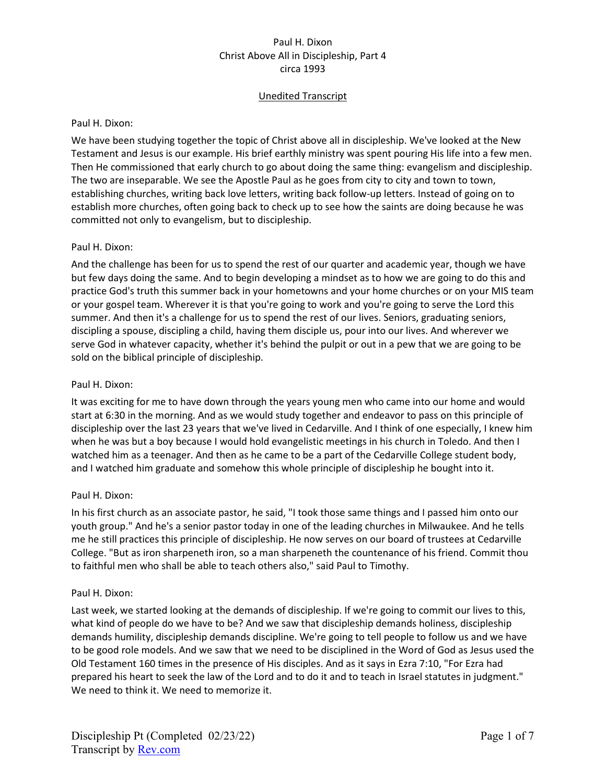# Unedited Transcript

### Paul H. Dixon:

We have been studying together the topic of Christ above all in discipleship. We've looked at the New Testament and Jesus is our example. His brief earthly ministry was spent pouring His life into a few men. Then He commissioned that early church to go about doing the same thing: evangelism and discipleship. The two are inseparable. We see the Apostle Paul as he goes from city to city and town to town, establishing churches, writing back love letters, writing back follow-up letters. Instead of going on to establish more churches, often going back to check up to see how the saints are doing because he was committed not only to evangelism, but to discipleship.

## Paul H. Dixon:

And the challenge has been for us to spend the rest of our quarter and academic year, though we have but few days doing the same. And to begin developing a mindset as to how we are going to do this and practice God's truth this summer back in your hometowns and your home churches or on your MIS team or your gospel team. Wherever it is that you're going to work and you're going to serve the Lord this summer. And then it's a challenge for us to spend the rest of our lives. Seniors, graduating seniors, discipling a spouse, discipling a child, having them disciple us, pour into our lives. And wherever we serve God in whatever capacity, whether it's behind the pulpit or out in a pew that we are going to be sold on the biblical principle of discipleship.

## Paul H. Dixon:

It was exciting for me to have down through the years young men who came into our home and would start at 6:30 in the morning. And as we would study together and endeavor to pass on this principle of discipleship over the last 23 years that we've lived in Cedarville. And I think of one especially, I knew him when he was but a boy because I would hold evangelistic meetings in his church in Toledo. And then I watched him as a teenager. And then as he came to be a part of the Cedarville College student body, and I watched him graduate and somehow this whole principle of discipleship he bought into it.

# Paul H. Dixon:

In his first church as an associate pastor, he said, "I took those same things and I passed him onto our youth group." And he's a senior pastor today in one of the leading churches in Milwaukee. And he tells me he still practices this principle of discipleship. He now serves on our board of trustees at Cedarville College. "But as iron sharpeneth iron, so a man sharpeneth the countenance of his friend. Commit thou to faithful men who shall be able to teach others also," said Paul to Timothy.

#### Paul H. Dixon:

Last week, we started looking at the demands of discipleship. If we're going to commit our lives to this, what kind of people do we have to be? And we saw that discipleship demands holiness, discipleship demands humility, discipleship demands discipline. We're going to tell people to follow us and we have to be good role models. And we saw that we need to be disciplined in the Word of God as Jesus used the Old Testament 160 times in the presence of His disciples. And as it says in Ezra 7:10, "For Ezra had prepared his heart to seek the law of the Lord and to do it and to teach in Israel statutes in judgment." We need to think it. We need to memorize it.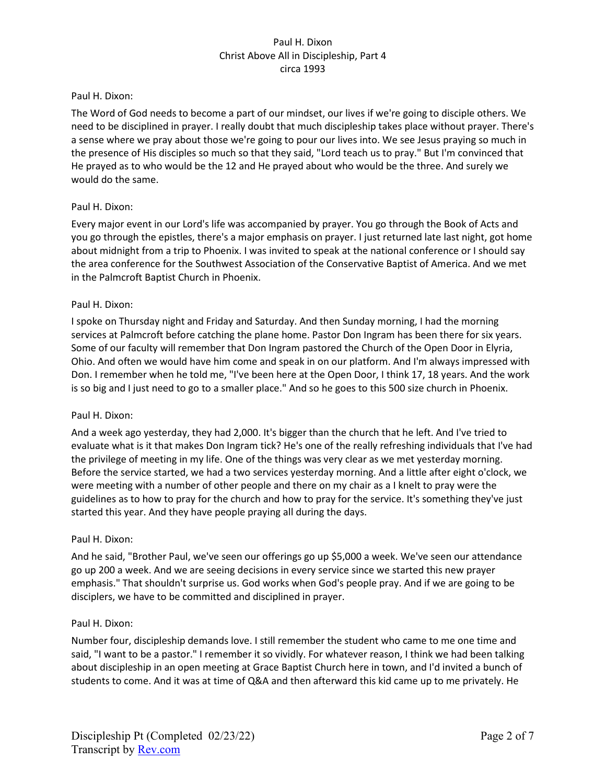### Paul H. Dixon:

The Word of God needs to become a part of our mindset, our lives if we're going to disciple others. We need to be disciplined in prayer. I really doubt that much discipleship takes place without prayer. There's a sense where we pray about those we're going to pour our lives into. We see Jesus praying so much in the presence of His disciples so much so that they said, "Lord teach us to pray." But I'm convinced that He prayed as to who would be the 12 and He prayed about who would be the three. And surely we would do the same.

## Paul H. Dixon:

Every major event in our Lord's life was accompanied by prayer. You go through the Book of Acts and you go through the epistles, there's a major emphasis on prayer. I just returned late last night, got home about midnight from a trip to Phoenix. I was invited to speak at the national conference or I should say the area conference for the Southwest Association of the Conservative Baptist of America. And we met in the Palmcroft Baptist Church in Phoenix.

## Paul H. Dixon:

I spoke on Thursday night and Friday and Saturday. And then Sunday morning, I had the morning services at Palmcroft before catching the plane home. Pastor Don Ingram has been there for six years. Some of our faculty will remember that Don Ingram pastored the Church of the Open Door in Elyria, Ohio. And often we would have him come and speak in on our platform. And I'm always impressed with Don. I remember when he told me, "I've been here at the Open Door, I think 17, 18 years. And the work is so big and I just need to go to a smaller place." And so he goes to this 500 size church in Phoenix.

#### Paul H. Dixon:

And a week ago yesterday, they had 2,000. It's bigger than the church that he left. And I've tried to evaluate what is it that makes Don Ingram tick? He's one of the really refreshing individuals that I've had the privilege of meeting in my life. One of the things was very clear as we met yesterday morning. Before the service started, we had a two services yesterday morning. And a little after eight o'clock, we were meeting with a number of other people and there on my chair as a I knelt to pray were the guidelines as to how to pray for the church and how to pray for the service. It's something they've just started this year. And they have people praying all during the days.

#### Paul H. Dixon:

And he said, "Brother Paul, we've seen our offerings go up \$5,000 a week. We've seen our attendance go up 200 a week. And we are seeing decisions in every service since we started this new prayer emphasis." That shouldn't surprise us. God works when God's people pray. And if we are going to be disciplers, we have to be committed and disciplined in prayer.

#### Paul H. Dixon:

Number four, discipleship demands love. I still remember the student who came to me one time and said, "I want to be a pastor." I remember it so vividly. For whatever reason, I think we had been talking about discipleship in an open meeting at Grace Baptist Church here in town, and I'd invited a bunch of students to come. And it was at time of Q&A and then afterward this kid came up to me privately. He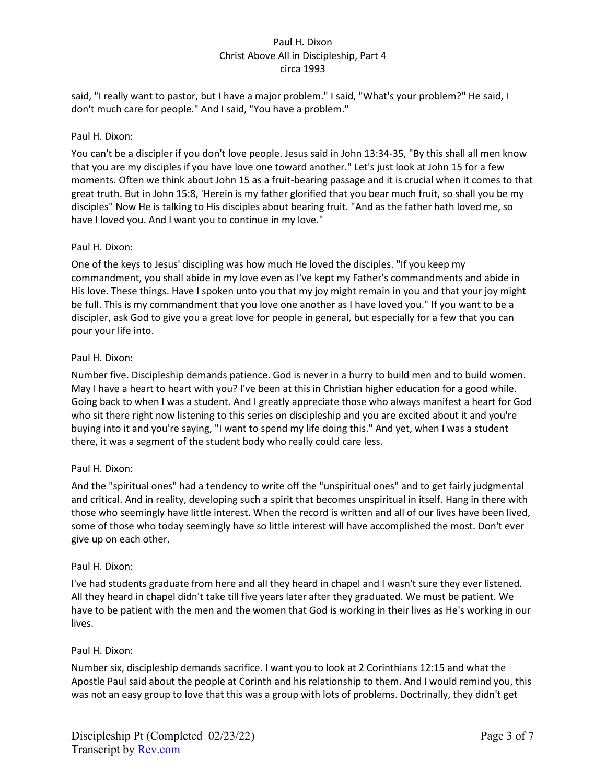said, "I really want to pastor, but I have a major problem." I said, "What's your problem?" He said, I don't much care for people." And I said, "You have a problem."

## Paul H. Dixon:

You can't be a discipler if you don't love people. Jesus said in John 13:34-35, "By this shall all men know that you are my disciples if you have love one toward another." Let's just look at John 15 for a few moments. Often we think about John 15 as a fruit-bearing passage and it is crucial when it comes to that great truth. But in John 15:8, 'Herein is my father glorified that you bear much fruit, so shall you be my disciples" Now He is talking to His disciples about bearing fruit. "And as the father hath loved me, so have I loved you. And I want you to continue in my love."

## Paul H. Dixon:

One of the keys to Jesus' discipling was how much He loved the disciples. "If you keep my commandment, you shall abide in my love even as I've kept my Father's commandments and abide in His love. These things. Have I spoken unto you that my joy might remain in you and that your joy might be full. This is my commandment that you love one another as I have loved you." If you want to be a discipler, ask God to give you a great love for people in general, but especially for a few that you can pour your life into.

## Paul H. Dixon:

Number five. Discipleship demands patience. God is never in a hurry to build men and to build women. May I have a heart to heart with you? I've been at this in Christian higher education for a good while. Going back to when I was a student. And I greatly appreciate those who always manifest a heart for God who sit there right now listening to this series on discipleship and you are excited about it and you're buying into it and you're saying, "I want to spend my life doing this." And yet, when I was a student there, it was a segment of the student body who really could care less.

# Paul H. Dixon:

And the "spiritual ones" had a tendency to write off the "unspiritual ones" and to get fairly judgmental and critical. And in reality, developing such a spirit that becomes unspiritual in itself. Hang in there with those who seemingly have little interest. When the record is written and all of our lives have been lived, some of those who today seemingly have so little interest will have accomplished the most. Don't ever give up on each other.

#### Paul H. Dixon:

I've had students graduate from here and all they heard in chapel and I wasn't sure they ever listened. All they heard in chapel didn't take till five years later after they graduated. We must be patient. We have to be patient with the men and the women that God is working in their lives as He's working in our lives.

#### Paul H. Dixon:

Number six, discipleship demands sacrifice. I want you to look at 2 Corinthians 12:15 and what the Apostle Paul said about the people at Corinth and his relationship to them. And I would remind you, this was not an easy group to love that this was a group with lots of problems. Doctrinally, they didn't get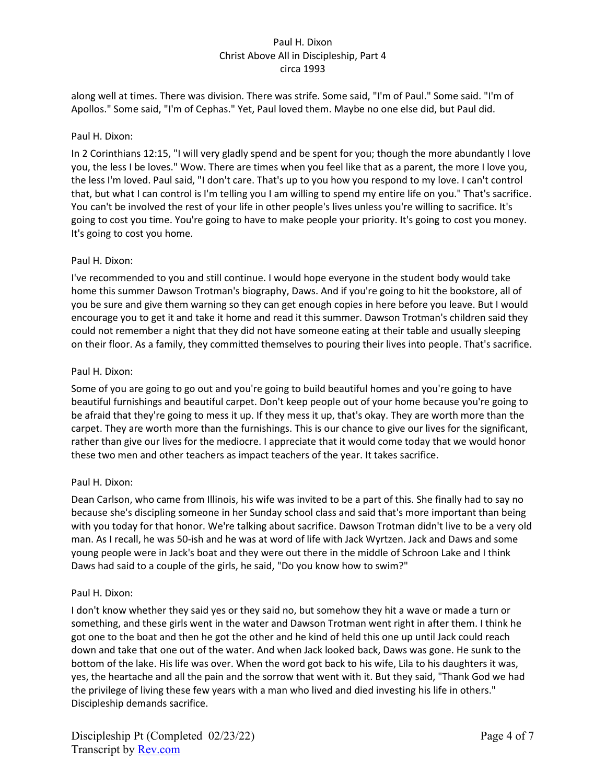along well at times. There was division. There was strife. Some said, "I'm of Paul." Some said. "I'm of Apollos." Some said, "I'm of Cephas." Yet, Paul loved them. Maybe no one else did, but Paul did.

## Paul H. Dixon:

In 2 Corinthians 12:15, "I will very gladly spend and be spent for you; though the more abundantly I love you, the less I be loves." Wow. There are times when you feel like that as a parent, the more I love you, the less I'm loved. Paul said, "I don't care. That's up to you how you respond to my love. I can't control that, but what I can control is I'm telling you I am willing to spend my entire life on you." That's sacrifice. You can't be involved the rest of your life in other people's lives unless you're willing to sacrifice. It's going to cost you time. You're going to have to make people your priority. It's going to cost you money. It's going to cost you home.

## Paul H. Dixon:

I've recommended to you and still continue. I would hope everyone in the student body would take home this summer Dawson Trotman's biography, Daws. And if you're going to hit the bookstore, all of you be sure and give them warning so they can get enough copies in here before you leave. But I would encourage you to get it and take it home and read it this summer. Dawson Trotman's children said they could not remember a night that they did not have someone eating at their table and usually sleeping on their floor. As a family, they committed themselves to pouring their lives into people. That's sacrifice.

## Paul H. Dixon:

Some of you are going to go out and you're going to build beautiful homes and you're going to have beautiful furnishings and beautiful carpet. Don't keep people out of your home because you're going to be afraid that they're going to mess it up. If they mess it up, that's okay. They are worth more than the carpet. They are worth more than the furnishings. This is our chance to give our lives for the significant, rather than give our lives for the mediocre. I appreciate that it would come today that we would honor these two men and other teachers as impact teachers of the year. It takes sacrifice.

# Paul H. Dixon:

Dean Carlson, who came from Illinois, his wife was invited to be a part of this. She finally had to say no because she's discipling someone in her Sunday school class and said that's more important than being with you today for that honor. We're talking about sacrifice. Dawson Trotman didn't live to be a very old man. As I recall, he was 50-ish and he was at word of life with Jack Wyrtzen. Jack and Daws and some young people were in Jack's boat and they were out there in the middle of Schroon Lake and I think Daws had said to a couple of the girls, he said, "Do you know how to swim?"

#### Paul H. Dixon:

I don't know whether they said yes or they said no, but somehow they hit a wave or made a turn or something, and these girls went in the water and Dawson Trotman went right in after them. I think he got one to the boat and then he got the other and he kind of held this one up until Jack could reach down and take that one out of the water. And when Jack looked back, Daws was gone. He sunk to the bottom of the lake. His life was over. When the word got back to his wife, Lila to his daughters it was, yes, the heartache and all the pain and the sorrow that went with it. But they said, "Thank God we had the privilege of living these few years with a man who lived and died investing his life in others." Discipleship demands sacrifice.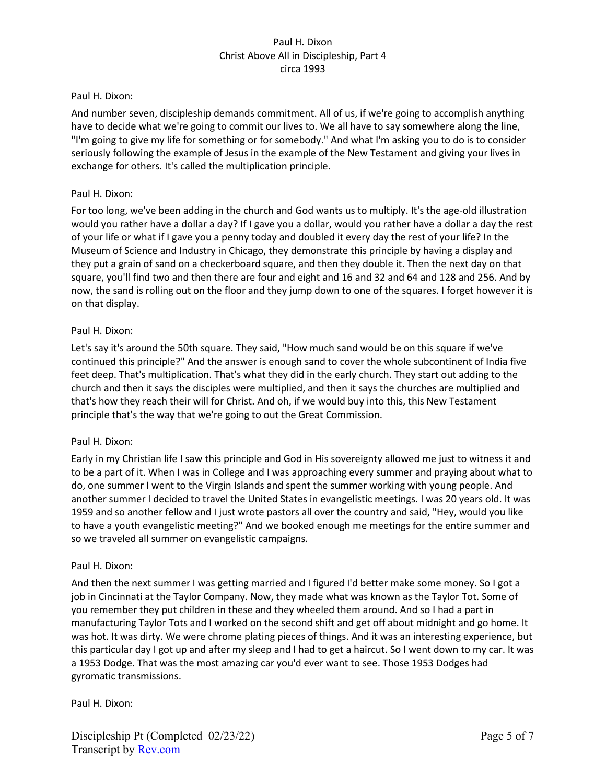### Paul H. Dixon:

And number seven, discipleship demands commitment. All of us, if we're going to accomplish anything have to decide what we're going to commit our lives to. We all have to say somewhere along the line, "I'm going to give my life for something or for somebody." And what I'm asking you to do is to consider seriously following the example of Jesus in the example of the New Testament and giving your lives in exchange for others. It's called the multiplication principle.

## Paul H. Dixon:

For too long, we've been adding in the church and God wants us to multiply. It's the age-old illustration would you rather have a dollar a day? If I gave you a dollar, would you rather have a dollar a day the rest of your life or what if I gave you a penny today and doubled it every day the rest of your life? In the Museum of Science and Industry in Chicago, they demonstrate this principle by having a display and they put a grain of sand on a checkerboard square, and then they double it. Then the next day on that square, you'll find two and then there are four and eight and 16 and 32 and 64 and 128 and 256. And by now, the sand is rolling out on the floor and they jump down to one of the squares. I forget however it is on that display.

## Paul H. Dixon:

Let's say it's around the 50th square. They said, "How much sand would be on this square if we've continued this principle?" And the answer is enough sand to cover the whole subcontinent of India five feet deep. That's multiplication. That's what they did in the early church. They start out adding to the church and then it says the disciples were multiplied, and then it says the churches are multiplied and that's how they reach their will for Christ. And oh, if we would buy into this, this New Testament principle that's the way that we're going to out the Great Commission.

# Paul H. Dixon:

Early in my Christian life I saw this principle and God in His sovereignty allowed me just to witness it and to be a part of it. When I was in College and I was approaching every summer and praying about what to do, one summer I went to the Virgin Islands and spent the summer working with young people. And another summer I decided to travel the United States in evangelistic meetings. I was 20 years old. It was 1959 and so another fellow and I just wrote pastors all over the country and said, "Hey, would you like to have a youth evangelistic meeting?" And we booked enough me meetings for the entire summer and so we traveled all summer on evangelistic campaigns.

#### Paul H. Dixon:

And then the next summer I was getting married and I figured I'd better make some money. So I got a job in Cincinnati at the Taylor Company. Now, they made what was known as the Taylor Tot. Some of you remember they put children in these and they wheeled them around. And so I had a part in manufacturing Taylor Tots and I worked on the second shift and get off about midnight and go home. It was hot. It was dirty. We were chrome plating pieces of things. And it was an interesting experience, but this particular day I got up and after my sleep and I had to get a haircut. So I went down to my car. It was a 1953 Dodge. That was the most amazing car you'd ever want to see. Those 1953 Dodges had gyromatic transmissions.

Paul H. Dixon: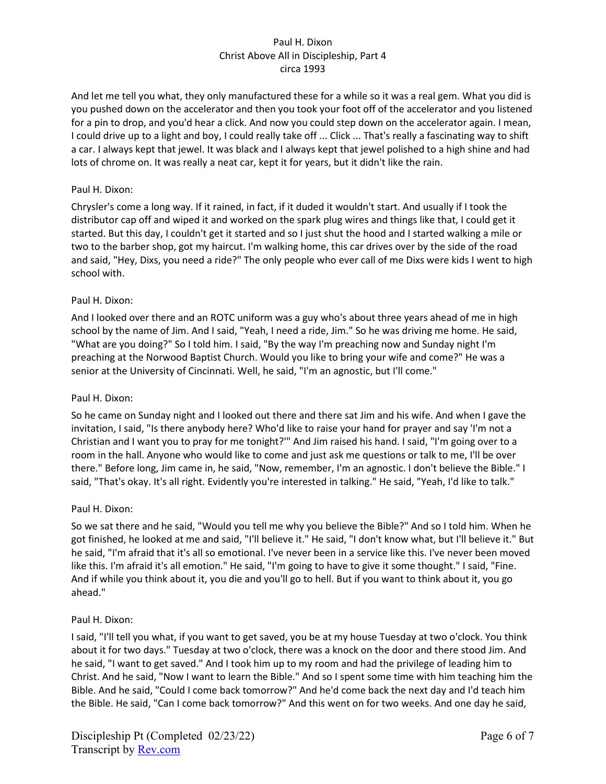And let me tell you what, they only manufactured these for a while so it was a real gem. What you did is you pushed down on the accelerator and then you took your foot off of the accelerator and you listened for a pin to drop, and you'd hear a click. And now you could step down on the accelerator again. I mean, I could drive up to a light and boy, I could really take off ... Click ... That's really a fascinating way to shift a car. I always kept that jewel. It was black and I always kept that jewel polished to a high shine and had lots of chrome on. It was really a neat car, kept it for years, but it didn't like the rain.

# Paul H. Dixon:

Chrysler's come a long way. If it rained, in fact, if it duded it wouldn't start. And usually if I took the distributor cap off and wiped it and worked on the spark plug wires and things like that, I could get it started. But this day, I couldn't get it started and so I just shut the hood and I started walking a mile or two to the barber shop, got my haircut. I'm walking home, this car drives over by the side of the road and said, "Hey, Dixs, you need a ride?" The only people who ever call of me Dixs were kids I went to high school with.

## Paul H. Dixon:

And I looked over there and an ROTC uniform was a guy who's about three years ahead of me in high school by the name of Jim. And I said, "Yeah, I need a ride, Jim." So he was driving me home. He said, "What are you doing?" So I told him. I said, "By the way I'm preaching now and Sunday night I'm preaching at the Norwood Baptist Church. Would you like to bring your wife and come?" He was a senior at the University of Cincinnati. Well, he said, "I'm an agnostic, but I'll come."

### Paul H. Dixon:

So he came on Sunday night and I looked out there and there sat Jim and his wife. And when I gave the invitation, I said, "Is there anybody here? Who'd like to raise your hand for prayer and say 'I'm not a Christian and I want you to pray for me tonight?'" And Jim raised his hand. I said, "I'm going over to a room in the hall. Anyone who would like to come and just ask me questions or talk to me, I'll be over there." Before long, Jim came in, he said, "Now, remember, I'm an agnostic. I don't believe the Bible." I said, "That's okay. It's all right. Evidently you're interested in talking." He said, "Yeah, I'd like to talk."

#### Paul H. Dixon:

So we sat there and he said, "Would you tell me why you believe the Bible?" And so I told him. When he got finished, he looked at me and said, "I'll believe it." He said, "I don't know what, but I'll believe it." But he said, "I'm afraid that it's all so emotional. I've never been in a service like this. I've never been moved like this. I'm afraid it's all emotion." He said, "I'm going to have to give it some thought." I said, "Fine. And if while you think about it, you die and you'll go to hell. But if you want to think about it, you go ahead."

#### Paul H. Dixon:

I said, "I'll tell you what, if you want to get saved, you be at my house Tuesday at two o'clock. You think about it for two days." Tuesday at two o'clock, there was a knock on the door and there stood Jim. And he said, "I want to get saved." And I took him up to my room and had the privilege of leading him to Christ. And he said, "Now I want to learn the Bible." And so I spent some time with him teaching him the Bible. And he said, "Could I come back tomorrow?" And he'd come back the next day and I'd teach him the Bible. He said, "Can I come back tomorrow?" And this went on for two weeks. And one day he said,